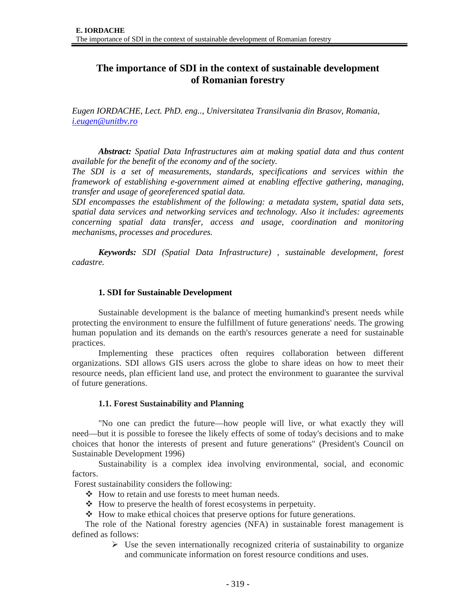# **The importance of SDI in the context of sustainable development of Romanian forestry**

*Eugen IORDACHE, Lect. PhD. eng.., Universitatea Transilvania din Brasov, Romania, i.eugen@unitbv.ro*

*Abstract: Spatial Data Infrastructures aim at making spatial data and thus content available for the benefit of the economy and of the society.* 

*The SDI is a set of measurements, standards, specifications and services within the framework of establishing e-government aimed at enabling effective gathering, managing, transfer and usage of georeferenced spatial data.* 

*SDI encompasses the establishment of the following: a metadata system, spatial data sets, spatial data services and networking services and technology. Also it includes: agreements concerning spatial data transfer, access and usage, coordination and monitoring mechanisms, processes and procedures.* 

*Keywords: SDI (Spatial Data Infrastructure) , sustainable development, forest cadastre.* 

#### **1. SDI for Sustainable Development**

Sustainable development is the balance of meeting humankind's present needs while protecting the environment to ensure the fulfillment of future generations' needs. The growing human population and its demands on the earth's resources generate a need for sustainable practices.

Implementing these practices often requires collaboration between different organizations. SDI allows GIS users across the globe to share ideas on how to meet their resource needs, plan efficient land use, and protect the environment to guarantee the survival of future generations.

#### **1.1. Forest Sustainability and Planning**

"No one can predict the future—how people will live, or what exactly they will need—but it is possible to foresee the likely effects of some of today's decisions and to make choices that honor the interests of present and future generations" (President's Council on Sustainable Development 1996)

Sustainability is a complex idea involving environmental, social, and economic factors.

Forest sustainability considers the following:

- ❖ How to retain and use forests to meet human needs.
- $\triangleleft$  How to preserve the health of forest ecosystems in perpetuity.
- $\triangleleft$  How to make ethical choices that preserve options for future generations.

The role of the National forestry agencies (NFA) in sustainable forest management is defined as follows:

> $\triangleright$  Use the seven internationally recognized criteria of sustainability to organize and communicate information on forest resource conditions and uses.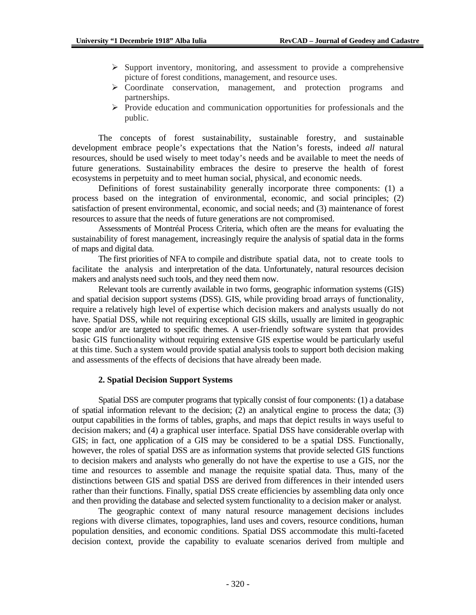- $\triangleright$  Support inventory, monitoring, and assessment to provide a comprehensive picture of forest conditions, management, and resource uses.
- $\triangleright$  Coordinate conservation, management, and protection programs and partnerships.
- $\triangleright$  Provide education and communication opportunities for professionals and the public.

The concepts of forest sustainability, sustainable forestry, and sustainable development embrace people's expectations that the Nation's forests, indeed *all* natural resources, should be used wisely to meet today's needs and be available to meet the needs of future generations. Sustainability embraces the desire to preserve the health of forest ecosystems in perpetuity and to meet human social, physical, and economic needs.

Definitions of forest sustainability generally incorporate three components: (1) a process based on the integration of environmental, economic, and social principles; (2) satisfaction of present environmental, economic, and social needs; and (3) maintenance of forest resources to assure that the needs of future generations are not compromised.

Assessments of Montréal Process Criteria, which often are the means for evaluating the sustainability of forest management, increasingly require the analysis of spatial data in the forms of maps and digital data.

The first priorities of NFA to compile and distribute spatial data, not to create tools to facilitate the analysis and interpretation of the data. Unfortunately, natural resources decision makers and analysts need such tools, and they need them now.

Relevant tools are currently available in two forms, geographic information systems (GIS) and spatial decision support systems (DSS). GIS, while providing broad arrays of functionality, require a relatively high level of expertise which decision makers and analysts usually do not have. Spatial DSS, while not requiring exceptional GIS skills, usually are limited in geographic scope and/or are targeted to specific themes. A user-friendly software system that provides basic GIS functionality without requiring extensive GIS expertise would be particularly useful at this time. Such a system would provide spatial analysis tools to support both decision making and assessments of the effects of decisions that have already been made.

#### **2. Spatial Decision Support Systems**

Spatial DSS are computer programs that typically consist of four components: (1) a database of spatial information relevant to the decision; (2) an analytical engine to process the data; (3) output capabilities in the forms of tables, graphs, and maps that depict results in ways useful to decision makers; and (4) a graphical user interface. Spatial DSS have considerable overlap with GIS; in fact, one application of a GIS may be considered to be a spatial DSS. Functionally, however, the roles of spatial DSS are as information systems that provide selected GIS functions to decision makers and analysts who generally do not have the expertise to use a GIS, nor the time and resources to assemble and manage the requisite spatial data. Thus, many of the distinctions between GIS and spatial DSS are derived from differences in their intended users rather than their functions. Finally, spatial DSS create efficiencies by assembling data only once and then providing the database and selected system functionality to a decision maker or analyst.

The geographic context of many natural resource management decisions includes regions with diverse climates, topographies, land uses and covers, resource conditions, human population densities, and economic conditions. Spatial DSS accommodate this multi-faceted decision context, provide the capability to evaluate scenarios derived from multiple and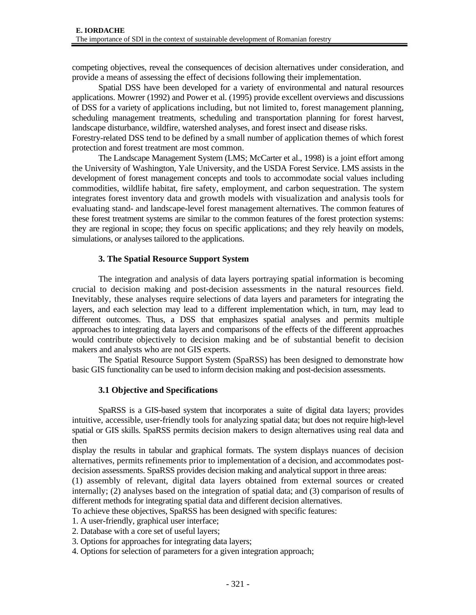competing objectives, reveal the consequences of decision alternatives under consideration, and provide a means of assessing the effect of decisions following their implementation.

Spatial DSS have been developed for a variety of environmental and natural resources applications. Mowrer (1992) and Power et al. (1995) provide excellent overviews and discussions of DSS for a variety of applications including, but not limited to, forest management planning, scheduling management treatments, scheduling and transportation planning for forest harvest, landscape disturbance, wildfire, watershed analyses, and forest insect and disease risks.

Forestry-related DSS tend to be defined by a small number of application themes of which forest protection and forest treatment are most common.

The Landscape Management System (LMS; McCarter et al., 1998) is a joint effort among the University of Washington, Yale University, and the USDA Forest Service. LMS assists in the development of forest management concepts and tools to accommodate social values including commodities, wildlife habitat, fire safety, employment, and carbon sequestration. The system integrates forest inventory data and growth models with visualization and analysis tools for evaluating stand- and landscape-level forest management alternatives. The common features of these forest treatment systems are similar to the common features of the forest protection systems: they are regional in scope; they focus on specific applications; and they rely heavily on models, simulations, or analyses tailored to the applications.

### **3. The Spatial Resource Support System**

The integration and analysis of data layers portraying spatial information is becoming crucial to decision making and post-decision assessments in the natural resources field. Inevitably, these analyses require selections of data layers and parameters for integrating the layers, and each selection may lead to a different implementation which, in turn, may lead to different outcomes. Thus, a DSS that emphasizes spatial analyses and permits multiple approaches to integrating data layers and comparisons of the effects of the different approaches would contribute objectively to decision making and be of substantial benefit to decision makers and analysts who are not GIS experts.

The Spatial Resource Support System (SpaRSS) has been designed to demonstrate how basic GIS functionality can be used to inform decision making and post-decision assessments.

### **3.1 Objective and Specifications**

SpaRSS is a GIS-based system that incorporates a suite of digital data layers; provides intuitive, accessible, user-friendly tools for analyzing spatial data; but does not require high-level spatial or GIS skills. SpaRSS permits decision makers to design alternatives using real data and then

display the results in tabular and graphical formats. The system displays nuances of decision alternatives, permits refinements prior to implementation of a decision, and accommodates postdecision assessments. SpaRSS provides decision making and analytical support in three areas:

(1) assembly of relevant, digital data layers obtained from external sources or created internally; (2) analyses based on the integration of spatial data; and (3) comparison of results of different methods for integrating spatial data and different decision alternatives.

To achieve these objectives, SpaRSS has been designed with specific features:

1. A user-friendly, graphical user interface;

- 2. Database with a core set of useful layers;
- 3. Options for approaches for integrating data layers;
- 4. Options for selection of parameters for a given integration approach;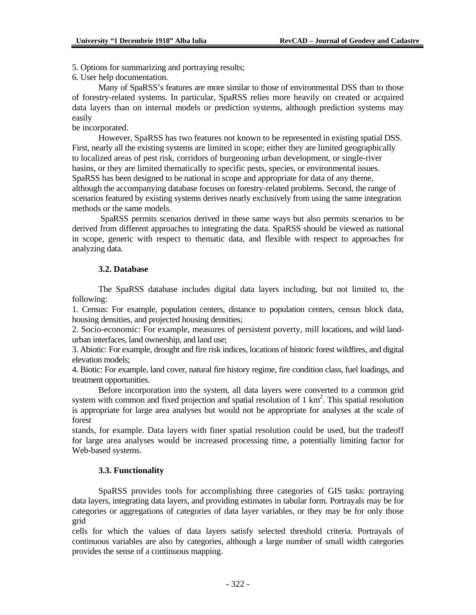5. Options for summarizing and portraying results;

6. User help documentation.

Many of SpaRSS's features are more similar to those of environmental DSS than to those of forestry-related systems. In particular, SpaRSS relies more heavily on created or acquired data layers than on internal models or prediction systems, although prediction systems may easily

## be incorporated.

However, SpaRSS has two features not known to be represented in existing spatial DSS. First, nearly all the existing systems are limited in scope; either they are limited geographically to localized areas of pest risk, corridors of burgeoning urban development, or single-river basins, or they are limited thematically to specific pests, species, or environmental issues. SpaRSS has been designed to be national in scope and appropriate for data of any theme, although the accompanying database focuses on forestry-related problems. Second, the range of scenarios featured by existing systems derives nearly exclusively from using the same integration methods or the same models.

 SpaRSS permits scenarios derived in these same ways but also permits scenarios to be derived from different approaches to integrating the data. SpaRSS should be viewed as national in scope, generic with respect to thematic data, and flexible with respect to approaches for analyzing data.

## **3.2. Database**

The SpaRSS database includes digital data layers including, but not limited to, the following:

1. Census: For example, population centers, distance to population centers, census block data, housing densities, and projected housing densities;

2. Socio-economic: For example, measures of persistent poverty, mill locations, and wild landurban interfaces, land ownership, and land use;

3. Abiotic: For example, drought and fire risk indices, locations of historic forest wildfires, and digital elevation models;

4. Biotic: For example, land cover, natural fire history regime, fire condition class, fuel loadings, and treatment opportunities.

Before incorporation into the system, all data layers were converted to a common grid system with common and fixed projection and spatial resolution of  $1 \text{ km}^2$ . This spatial resolution is appropriate for large area analyses but would not be appropriate for analyses at the scale of forest

stands, for example. Data layers with finer spatial resolution could be used, but the tradeoff for large area analyses would be increased processing time, a potentially limiting factor for Web-based systems.

# **3.3. Functionality**

SpaRSS provides tools for accomplishing three categories of GIS tasks: portraying data layers, integrating data layers, and providing estimates in tabular form. Portrayals may be for categories or aggregations of categories of data layer variables, or they may be for only those grid

cells for which the values of data layers satisfy selected threshold criteria. Portrayals of continuous variables are also by categories, although a large number of small width categories provides the sense of a continuous mapping.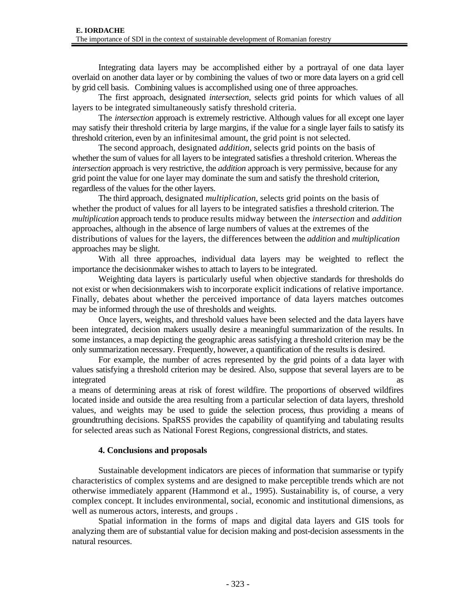Integrating data layers may be accomplished either by a portrayal of one data layer overlaid on another data layer or by combining the values of two or more data layers on a grid cell by grid cell basis. Combining values is accomplished using one of three approaches.

The first approach, designated *intersection*, selects grid points for which values of all layers to be integrated simultaneously satisfy threshold criteria.

The *intersection* approach is extremely restrictive. Although values for all except one layer may satisfy their threshold criteria by large margins, if the value for a single layer fails to satisfy its threshold criterion, even by an infinitesimal amount, the grid point is not selected.

The second approach, designated *addition*, selects grid points on the basis of whether the sum of values for all layers to be integrated satisfies a threshold criterion. Whereas the *intersection* approach is very restrictive, the *addition* approach is very permissive, because for any grid point the value for one layer may dominate the sum and satisfy the threshold criterion, regardless of the values for the other layers.

The third approach, designated *multiplication*, selects grid points on the basis of whether the product of values for all layers to be integrated satisfies a threshold criterion. The *multiplication* approach tends to produce results midway between the *intersection* and *addition* approaches, although in the absence of large numbers of values at the extremes of the distributions of values for the layers, the differences between the *addition* and *multiplication*  approaches may be slight.

With all three approaches, individual data layers may be weighted to reflect the importance the decisionmaker wishes to attach to layers to be integrated.

Weighting data layers is particularly useful when objective standards for thresholds do not exist or when decisionmakers wish to incorporate explicit indications of relative importance. Finally, debates about whether the perceived importance of data layers matches outcomes may be informed through the use of thresholds and weights.

Once layers, weights, and threshold values have been selected and the data layers have been integrated, decision makers usually desire a meaningful summarization of the results. In some instances, a map depicting the geographic areas satisfying a threshold criterion may be the only summarization necessary. Frequently, however, a quantification of the results is desired.

For example, the number of acres represented by the grid points of a data layer with values satisfying a threshold criterion may be desired. Also, suppose that several layers are to be integrated as a set of the set of the set of the set of the set of the set of the set of the set of the set of the set of the set of the set of the set of the set of the set of the set of the set of the set of the set of t

a means of determining areas at risk of forest wildfire. The proportions of observed wildfires located inside and outside the area resulting from a particular selection of data layers, threshold values, and weights may be used to guide the selection process, thus providing a means of groundtruthing decisions. SpaRSS provides the capability of quantifying and tabulating results for selected areas such as National Forest Regions, congressional districts, and states.

### **4. Conclusions and proposals**

Sustainable development indicators are pieces of information that summarise or typify characteristics of complex systems and are designed to make perceptible trends which are not otherwise immediately apparent (Hammond et al., 1995). Sustainability is, of course, a very complex concept. It includes environmental, social, economic and institutional dimensions, as well as numerous actors, interests, and groups .

Spatial information in the forms of maps and digital data layers and GIS tools for analyzing them are of substantial value for decision making and post-decision assessments in the natural resources.